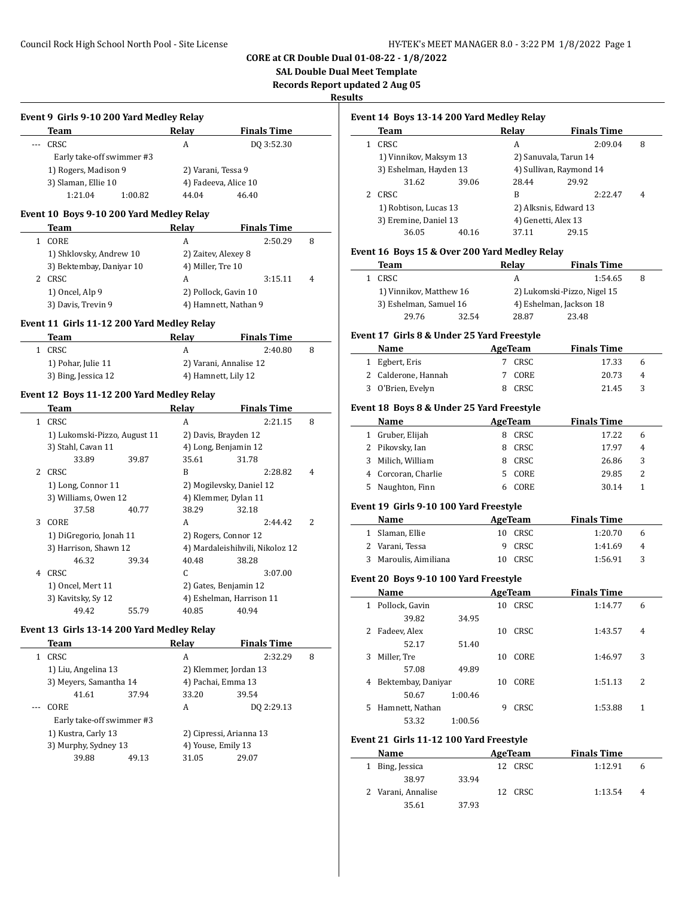**SAL Double Dual Meet Template**

**Records Report updated 2 Aug 05**

**Results**

 $\overline{a}$ 

 $\overline{\phantom{a}}$ 

 $\overline{\phantom{a}}$ 

|              | Event 9 Girls 9-10 200 Yard Medley Relay<br><b>Team</b> | Relay               | <b>Finals Time</b>              |   |
|--------------|---------------------------------------------------------|---------------------|---------------------------------|---|
|              | CRSC                                                    | A                   | DQ 3:52.30                      |   |
|              | Early take-off swimmer #3                               |                     |                                 |   |
|              | 1) Rogers, Madison 9                                    | 2) Varani, Tessa 9  |                                 |   |
|              | 3) Slaman, Ellie 10                                     |                     | 4) Fadeeva, Alice 10            |   |
|              | 1:21.04                                                 |                     | 46.40                           |   |
|              | 1:00.82                                                 | 44.04               |                                 |   |
|              | Event 10 Boys 9-10 200 Yard Medley Relay                |                     |                                 |   |
|              | Team                                                    | Relay               | <b>Finals Time</b>              |   |
| 1            | CORE                                                    | A                   | 2:50.29                         | 8 |
|              | 1) Shklovsky, Andrew 10                                 | 2) Zaitev, Alexey 8 |                                 |   |
|              | 3) Bektembay, Daniyar 10                                | 4) Miller, Tre 10   |                                 |   |
|              | 2 CRSC                                                  | А                   | 3:15.11                         | 4 |
|              | 1) Oncel, Alp 9                                         |                     | 2) Pollock, Gavin 10            |   |
|              | 3) Davis, Trevin 9                                      |                     | 4) Hamnett, Nathan 9            |   |
|              |                                                         |                     |                                 |   |
|              | Event 11 Girls 11-12 200 Yard Medley Relay              |                     |                                 |   |
|              | Team                                                    | Relay               | <b>Finals Time</b>              |   |
| 1            | CRSC                                                    | A                   | 2:40.80                         | 8 |
|              | 1) Pohar, Julie 11                                      |                     | 2) Varani, Annalise 12          |   |
|              | 3) Bing, Jessica 12                                     | 4) Hamnett, Lily 12 |                                 |   |
|              |                                                         |                     |                                 |   |
|              | Event 12 Boys 11-12 200 Yard Medley Relay               |                     |                                 |   |
|              | <b>Team</b>                                             | Relay               | <b>Finals Time</b>              |   |
| $\mathbf{1}$ | CRSC                                                    | A                   | 2:21.15                         | 8 |
|              | 1) Lukomski-Pizzo, August 11                            |                     | 2) Davis, Brayden 12            |   |
|              | 3) Stahl, Cavan 11                                      |                     | 4) Long, Benjamin 12            |   |
|              | 33.89<br>39.87                                          | 35.61               | 31.78                           |   |
| 2            | CRSC                                                    | B                   | 2:28.82                         | 4 |
|              | 1) Long, Connor 11                                      |                     | 2) Mogilevsky, Daniel 12        |   |
|              | 3) Williams, Owen 12                                    |                     | 4) Klemmer, Dylan 11            |   |
|              | 37.58<br>40.77                                          | 38.29               | 32.18                           |   |
| 3            | CORE                                                    | A                   | 2:44.42                         | 2 |
|              | 1) DiGregorio, Jonah 11                                 |                     | 2) Rogers, Connor 12            |   |
|              | 3) Harrison, Shawn 12                                   |                     | 4) Mardaleishihvili, Nikoloz 12 |   |
|              | 46.32<br>39.34                                          | 40.48               | 38.28                           |   |
|              | 4 CRSC                                                  | C                   | 3:07.00                         |   |
|              | 1) Oncel, Mert 11                                       |                     | 2) Gates, Benjamin 12           |   |
|              | 3) Kavitsky, Sy 12                                      |                     | 4) Eshelman, Harrison 11        |   |
|              | 49.42<br>55.79                                          | 40.85               | 40.94                           |   |
|              |                                                         |                     |                                 |   |
|              | Event 13 Girls 13-14 200 Yard Medley Relay              |                     |                                 |   |
|              |                                                         | Relay               | <b>Finals Time</b>              |   |
|              | Team                                                    |                     |                                 |   |
| 1            | CRSC                                                    | A                   | 2:32.29                         | 8 |
|              | 1) Liu, Angelina 13                                     |                     | 2) Klemmer, Jordan 13           |   |
|              | 3) Meyers, Samantha 14                                  |                     | 4) Pachai, Emma 13              |   |
|              | 41.61<br>37.94                                          | 33.20               | 39.54                           |   |
|              | CORE                                                    | A                   | DQ 2:29.13                      |   |
|              | Early take-off swimmer #3                               |                     |                                 |   |
|              | 1) Kustra, Carly 13                                     |                     | 2) Cipressi, Arianna 13         |   |
|              | 3) Murphy, Sydney 13                                    | 4) Youse, Emily 13  |                                 |   |

| Event 14  Boys 13-14 200 Yard Medley Relay |  |  |  |
|--------------------------------------------|--|--|--|
|                                            |  |  |  |

| Team                   |       | Relav                   | <b>Finals Time</b> |   |
|------------------------|-------|-------------------------|--------------------|---|
| CRSC                   |       | A                       | 2:09.04            | 8 |
| 1) Vinnikov, Maksym 13 |       | 2) Sanuvala, Tarun 14   |                    |   |
| 3) Eshelman, Hayden 13 |       | 4) Sullivan, Raymond 14 |                    |   |
| 31.62                  | 39.06 | 28.44                   | 29.92              |   |
| CRSC.                  |       | R                       | 2:22.47            | 4 |
| 1) Robtison, Lucas 13  |       | 2) Alksnis, Edward 13   |                    |   |
| 3) Eremine, Daniel 13  |       | 4) Genetti, Alex 13     |                    |   |
| 36.05                  | 40.16 | 37.11                   | 29.15              |   |
|                        |       |                         |                    |   |

### **Event 16 Boys 15 & Over 200 Yard Medley Relay**

| Team                    |       | Relay                   | <b>Finals Time</b>          |   |
|-------------------------|-------|-------------------------|-----------------------------|---|
| CRSC                    |       | А                       | 1:54.65                     | 8 |
| 1) Vinnikov, Matthew 16 |       |                         | 2) Lukomski-Pizzo, Nigel 15 |   |
| 3) Eshelman, Samuel 16  |       | 4) Eshelman, Jackson 18 |                             |   |
| 29.76                   | 32.54 | 28.87                   | 23.48                       |   |

# **Event 17 Girls 8 & Under 25 Yard Freestyle**

| Name                | AgeTeam | <b>Finals Time</b> |    |
|---------------------|---------|--------------------|----|
| 1 Egbert, Eris      | 7 CRSC  | 17.33              | h  |
| 2 Calderone, Hannah | 7 CORE  | 20.73              | -4 |
| 3 O'Brien, Evelyn   | 8 CRSC  | 21.45              | -3 |

### **Event 18 Boys 8 & Under 25 Yard Freestyle**

|    | Name                | AgeTeam |        | <b>Finals Time</b> |       |   |
|----|---------------------|---------|--------|--------------------|-------|---|
|    | 1 Gruber, Elijah    |         | CRSC   |                    | 17.22 | 6 |
|    | 2 Pikovsky, Ian     | 8       | CRSC   |                    | 17.97 | 4 |
|    | Milich, William     |         | CRSC   |                    | 26.86 | 3 |
|    | 4 Corcoran, Charlie |         | 5 CORE |                    | 29.85 | 2 |
| 5. | Naughton, Finn      |         | CORE   |                    | 30.14 |   |

### **Event 19 Girls 9-10 100 Yard Freestyle**

| Name                  | AgeTeam | <b>Finals Time</b> |              |
|-----------------------|---------|--------------------|--------------|
| 1 Slaman, Ellie       | 10 CRSC | 1:20.70            | h            |
| 2 Varani, Tessa       | 9 CRSC  | 1:41.69            | 4            |
| 3 Maroulis, Aimiliana | 10 CRSC | 1:56.91            | $\mathbf{z}$ |

# **Event 20 Boys 9-10 100 Yard Freestyle**

|              | Name               |         |    | AgeTeam | <b>Finals Time</b> |   |
|--------------|--------------------|---------|----|---------|--------------------|---|
| $\mathbf{1}$ | Pollock, Gavin     |         | 10 | CRSC    | 1:14.77            | 6 |
|              | 39.82              | 34.95   |    |         |                    |   |
|              | 2 Fadeev, Alex     |         | 10 | CRSC    | 1:43.57            | 4 |
|              | 52.17              | 51.40   |    |         |                    |   |
| 3            | Miller, Tre        |         | 10 | CORE    | 1:46.97            | 3 |
|              | 57.08              | 49.89   |    |         |                    |   |
| 4            | Bektembay, Daniyar |         | 10 | CORE    | 1:51.13            | 2 |
|              | 50.67              | 1:00.46 |    |         |                    |   |
| 5.           | Hamnett, Nathan    |         | 9  | CRSC    | 1:53.88            | 1 |
|              | 53.32              | 1:00.56 |    |         |                    |   |

# **Event 21 Girls 11-12 100 Yard Freestyle**

| Name               |       | AgeTeam | <b>Finals Time</b> |   |
|--------------------|-------|---------|--------------------|---|
| 1 Bing, Jessica    |       | 12 CRSC | 1:12.91            | h |
| 38.97              | 33.94 |         |                    |   |
| 2 Varani, Annalise |       | 12 CRSC | 1:13.54            | 4 |
| 35.61              | 37.93 |         |                    |   |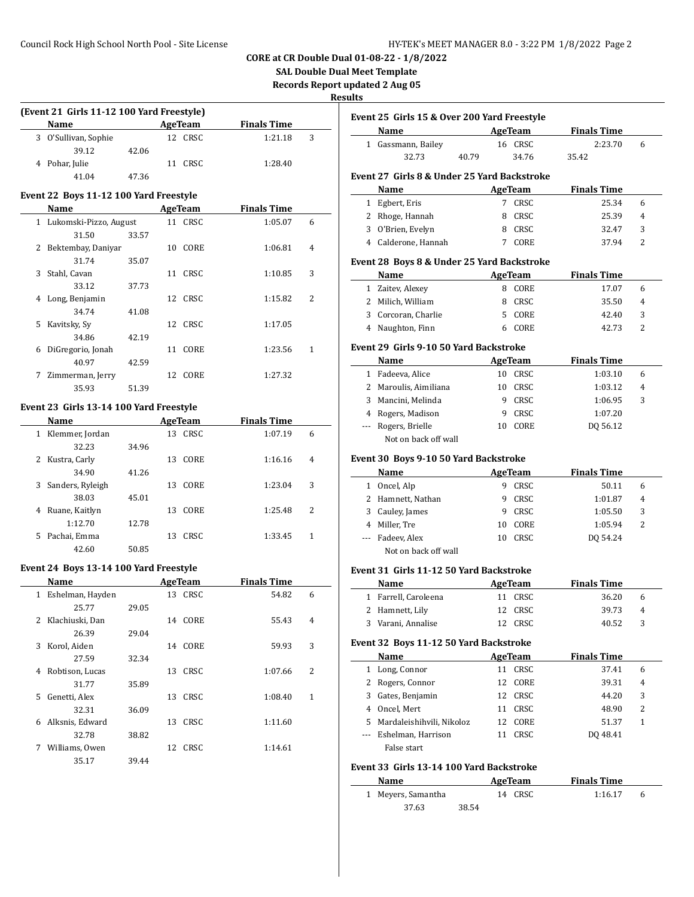# **SAL Double Dual Meet Template**

**Records Report updated 2 Aug 05**

#### **Res**

| (Event 21 Girls 11-12 100 Yard Freestyle) |                      |       |             |  |                    |   |  |
|-------------------------------------------|----------------------|-------|-------------|--|--------------------|---|--|
|                                           | Name                 |       | AgeTeam     |  | <b>Finals Time</b> |   |  |
|                                           | 3 O'Sullivan, Sophie |       | CRSC<br>12. |  | 1:21.18            | 3 |  |
|                                           | 39.12                | 42.06 |             |  |                    |   |  |
|                                           | 4 Pohar, Julie       |       | CRSC<br>11  |  | 1:28.40            |   |  |
|                                           | 41.04                | 47.36 |             |  |                    |   |  |

# **Event 22 Boys 11-12 100 Yard Freestyle**

|    | Name                     |       |    | AgeTeam | <b>Finals Time</b> |   |
|----|--------------------------|-------|----|---------|--------------------|---|
|    | 1 Lukomski-Pizzo, August |       |    | 11 CRSC | 1:05.07            | 6 |
|    | 31.50                    | 33.57 |    |         |                    |   |
| 2  | Bektembay, Daniyar       |       | 10 | CORE    | 1:06.81            | 4 |
|    | 31.74                    | 35.07 |    |         |                    |   |
| 3  | Stahl, Cavan             |       | 11 | CRSC    | 1:10.85            | 3 |
|    | 33.12                    | 37.73 |    |         |                    |   |
| 4  | Long, Benjamin           |       |    | 12 CRSC | 1:15.82            | 2 |
|    | 34.74                    | 41.08 |    |         |                    |   |
| 5. | Kavitsky, Sy             |       |    | 12 CRSC | 1:17.05            |   |
|    | 34.86                    | 42.19 |    |         |                    |   |
| 6  | DiGregorio, Jonah        |       | 11 | CORE    | 1:23.56            | 1 |
|    | 40.97                    | 42.59 |    |         |                    |   |
| 7  | Zimmerman, Jerry         |       |    | 12 CORE | 1:27.32            |   |
|    | 35.93                    | 51.39 |    |         |                    |   |

### **Event 23 Girls 13-14 100 Yard Freestyle**

| Name                  | AgeTeam           | <b>Finals Time</b> |   |
|-----------------------|-------------------|--------------------|---|
| Klemmer, Jordan<br>1  | CRSC<br>13        | 1:07.19            | 6 |
| 32.23                 | 34.96             |                    |   |
| Kustra, Carly<br>2    | CORE<br>13        | 1:16.16            | 4 |
| 34.90                 | 41.26             |                    |   |
| Sanders, Ryleigh<br>3 | <b>CORE</b><br>13 | 1:23.04            | 3 |
| 38.03                 | 45.01             |                    |   |
| Ruane, Kaitlyn<br>4   | CORE<br>13        | 1:25.48            | 2 |
| 1:12.70               | 12.78             |                    |   |
| Pachai, Emma<br>5     | CRSC<br>13        | 1:33.45            | 1 |
| 42.60                 | 50.85             |                    |   |

### **Event 24 Boys 13-14 100 Yard Freestyle**

 $\overline{a}$ 

|    | Name             |       |    | AgeTeam | <b>Finals Time</b> |   |
|----|------------------|-------|----|---------|--------------------|---|
| 1  | Eshelman, Hayden |       |    | 13 CRSC | 54.82              | 6 |
|    | 25.77            | 29.05 |    |         |                    |   |
| 2  | Klachiuski, Dan  |       |    | 14 CORE | 55.43              | 4 |
|    | 26.39            | 29.04 |    |         |                    |   |
| 3  | Korol, Aiden     |       |    | 14 CORE | 59.93              | 3 |
|    | 27.59            | 32.34 |    |         |                    |   |
| 4  | Robtison, Lucas  |       |    | 13 CRSC | 1:07.66            | 2 |
|    | 31.77            | 35.89 |    |         |                    |   |
| 5. | Genetti, Alex    |       |    | 13 CRSC | 1:08.40            | 1 |
|    | 32.31            | 36.09 |    |         |                    |   |
| 6  | Alksnis, Edward  |       | 13 | CRSC    | 1:11.60            |   |
|    | 32.78            | 38.82 |    |         |                    |   |
| 7  | Williams, Owen   |       |    | 12 CRSC | 1:14.61            |   |
|    | 35.17            | 39.44 |    |         |                    |   |

|   | <b>Name</b>                                 |    | Event 25 Girls 15 & Over 200 Yard Freestyle<br>AgeTeam | <b>Finals Time</b>          |                                           |
|---|---------------------------------------------|----|--------------------------------------------------------|-----------------------------|-------------------------------------------|
|   | 1 Gassmann, Bailey                          |    | 16 CRSC                                                | 2:23.70                     | 6                                         |
|   | 32.73<br>40.79                              |    | 34.76                                                  | 35.42                       |                                           |
|   | Event 27 Girls 8 & Under 25 Yard Backstroke |    |                                                        |                             |                                           |
|   | Name                                        |    | <b>AgeTeam</b>                                         | <b>Finals Time</b>          |                                           |
|   | 1 Egbert, Eris                              |    | 7 CRSC                                                 | 25.34                       | 6                                         |
|   | 2 Rhoge, Hannah                             |    | 8 CRSC                                                 | 25.39                       | $\overline{4}$                            |
|   | 3 O'Brien, Evelyn                           |    | 8 CRSC                                                 | 32.47                       | 3                                         |
|   | 4 Calderone, Hannah                         |    | 7 CORE                                                 | 37.94                       | 2                                         |
|   | Event 28 Boys 8 & Under 25 Yard Backstroke  |    |                                                        |                             |                                           |
|   | Name                                        |    | <b>AgeTeam</b>                                         | <b>Finals Time</b>          |                                           |
|   | 1 Zaitev, Alexey                            |    | 8 CORE                                                 | 17.07                       | 6                                         |
|   | 2 Milich, William                           |    | 8 CRSC                                                 | 35.50                       | 4                                         |
|   | 3 Corcoran, Charlie                         |    | 5 CORE                                                 | 42.40                       | 3                                         |
|   | 4 Naughton, Finn                            |    | 6 CORE                                                 | 42.73                       | 2                                         |
|   | Event 29 Girls 9-10 50 Yard Backstroke      |    |                                                        |                             |                                           |
|   | Name                                        |    | AgeTeam                                                | <b>Finals Time</b>          |                                           |
|   | 1 Fadeeva, Alice                            |    | 10 CRSC                                                | 1:03.10                     | 6                                         |
|   | 2 Maroulis, Aimiliana                       |    | 10 CRSC                                                | 1:03.12                     | 4                                         |
|   | 3 Mancini, Melinda                          |    | 9 CRSC                                                 | 1:06.95                     | 3                                         |
|   | 4 Rogers, Madison                           |    | 9 CRSC                                                 | 1:07.20                     |                                           |
|   | --- Rogers, Brielle                         |    | 10 CORE                                                | DQ 56.12                    |                                           |
|   | Not on back off wall                        |    |                                                        |                             |                                           |
|   | Event 30 Boys 9-10 50 Yard Backstroke       |    |                                                        |                             |                                           |
|   | Name                                        |    | <b>AgeTeam</b>                                         | <b>Finals Time</b>          |                                           |
|   | 1 Oncel, Alp                                |    | 9 CRSC                                                 | 50.11                       | 6                                         |
|   | 2 Hamnett, Nathan                           |    | 9 CRSC                                                 | 1:01.87                     | 4                                         |
|   | 3 Cauley, James                             |    | 9 CRSC                                                 | 1:05.50                     | 3                                         |
|   |                                             |    | 10 CORE                                                |                             |                                           |
|   | 4 Miller, Tre                               |    |                                                        | 1:05.94                     |                                           |
|   | --- Fadeev, Alex                            |    | 10 CRSC                                                | DQ 54.24                    |                                           |
|   | Not on back off wall                        |    |                                                        |                             |                                           |
|   |                                             |    |                                                        |                             |                                           |
|   | Event 31 Girls 11-12 50 Yard Backstroke     |    |                                                        |                             |                                           |
|   | Name                                        |    | AgeTeam<br><b>CRSC</b>                                 | <b>Finals Time</b>          |                                           |
|   | 1 Farrell, Caroleena                        | 11 |                                                        | 36.20                       |                                           |
|   | 2 Hamnett, Lily                             | 12 | 12 CRSC<br>CRSC                                        | 39.73                       |                                           |
|   | 3 Varani, Annalise                          |    |                                                        | 40.52                       |                                           |
|   | Event 32 Boys 11-12 50 Yard Backstroke      |    |                                                        |                             |                                           |
|   | Name                                        | 11 | <b>AgeTeam</b><br>CRSC                                 | <b>Finals Time</b><br>37.41 |                                           |
|   | 1 Long, Connor                              | 12 | CORE                                                   | 39.31                       |                                           |
|   | 2 Rogers, Connor<br>3 Gates, Benjamin       | 12 | CRSC                                                   | 44.20                       |                                           |
|   | 4 Oncel, Mert                               | 11 | CRSC                                                   | 48.90                       |                                           |
|   | 5 Mardaleishihvili, Nikoloz                 | 12 | CORE                                                   | 51.37                       |                                           |
|   | --- Eshelman, Harrison                      | 11 | CRSC                                                   | DQ 48.41                    |                                           |
|   | False start                                 |    |                                                        |                             |                                           |
|   | Event 33 Girls 13-14 100 Yard Backstroke    |    |                                                        |                             |                                           |
|   | Name                                        |    | <b>AgeTeam</b>                                         | <b>Finals Time</b>          | 2<br>6<br>4<br>3<br>6<br>4<br>3<br>2<br>1 |
| 1 | Meyers, Samantha                            |    | 14 CRSC                                                | 1:16.17                     | 6                                         |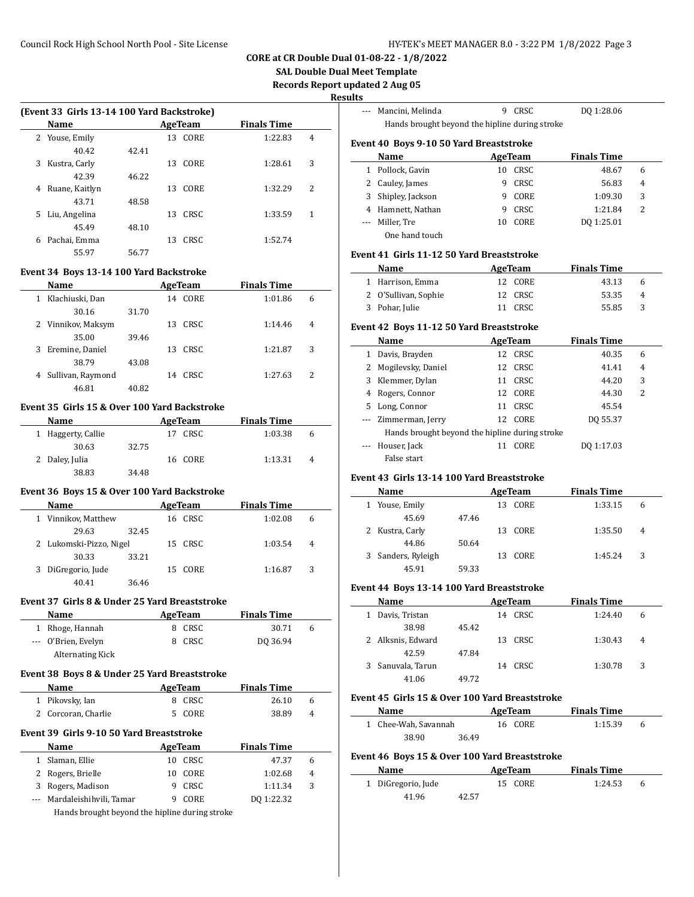**SAL Double Dual Meet Template**

**Records Report updated 2 Aug 05**

**Results**

 $\overline{\phantom{a}}$ 

 $\overline{\phantom{a}}$ 

 $\overline{a}$ 

 $\overline{a}$ 

|   | Name           |       |    | AgeTeam | <b>Finals Time</b> |   |
|---|----------------|-------|----|---------|--------------------|---|
|   | 2 Youse, Emily |       | 13 | CORE    | 1:22.83            | 4 |
|   | 40.42          | 42.41 |    |         |                    |   |
| 3 | Kustra, Carly  |       | 13 | CORE    | 1:28.61            | 3 |
|   | 42.39          | 46.22 |    |         |                    |   |
| 4 | Ruane, Kaitlyn |       | 13 | CORE    | 1:32.29            | 2 |
|   | 43.71          | 48.58 |    |         |                    |   |
| 5 | Liu, Angelina  |       | 13 | CRSC    | 1:33.59            | 1 |
|   | 45.49          | 48.10 |    |         |                    |   |
| 6 | Pachai, Emma   |       | 13 | CRSC    | 1:52.74            |   |
|   | 55.97          | 56.77 |    |         |                    |   |

|   | Name               | <b>AgeTeam</b> |    | <b>Finals Time</b> |         |   |  |
|---|--------------------|----------------|----|--------------------|---------|---|--|
|   | Klachiuski, Dan    |                | 14 | CORE               | 1:01.86 | 6 |  |
|   | 30.16              | 31.70          |    |                    |         |   |  |
|   | 2 Vinnikov, Maksym |                | 13 | CRSC               | 1:14.46 | 4 |  |
|   | 35.00              | 39.46          |    |                    |         |   |  |
| 3 | Eremine, Daniel    |                | 13 | CRSC               | 1:21.87 | 3 |  |
|   | 38.79              | 43.08          |    |                    |         |   |  |
| 4 | Sullivan, Raymond  |                | 14 | CRSC.              | 1:27.63 | 2 |  |
|   | 46.81              | 40.82          |    |                    |         |   |  |

#### **Event 35 Girls 15 & Over 100 Yard Backstroke**

| Name               | AgeTeam |            | <b>Finals Time</b> |   |
|--------------------|---------|------------|--------------------|---|
| 1 Haggerty, Callie |         | CRSC<br>17 | 1:03.38            | h |
| 30.63              | 32.75   |            |                    |   |
| 2 Daley, Julia     |         | 16 CORE    | 1:13.31            | 4 |
| 38.83              | 34.48   |            |                    |   |

# **Event 36 Boys 15 & Over 100 Yard Backstroke**

| Name                    |       |     | AgeTeam | <b>Finals Time</b> |   |
|-------------------------|-------|-----|---------|--------------------|---|
| Vinnikov, Matthew       |       | 16. | CRSC    | 1:02.08            | 6 |
| 29.63                   | 32.45 |     |         |                    |   |
| 2 Lukomski-Pizzo, Nigel |       |     | 15 CRSC | 1:03.54            | 4 |
| 30.33                   | 33.21 |     |         |                    |   |
| DiGregorio, Jude        |       | 15  | CORE    | 1:16.87            | 3 |
| 40.41                   | 36.46 |     |         |                    |   |

## **Event 37 Girls 8 & Under 25 Yard Breaststroke**

| Name                | AgeTeam    | <b>Finals Time</b> |   |
|---------------------|------------|--------------------|---|
| 1 Rhoge, Hannah     | CRSC<br>8. | 30.71              | 6 |
| --- O'Brien, Evelyn | CRSC       | DO 36.94           |   |
| Alternating Kick    |            |                    |   |

### **Event 38 Boys 8 & Under 25 Yard Breaststroke**

| <b>Name</b>         | AgeTeam | <b>Finals Time</b> |   |
|---------------------|---------|--------------------|---|
| 1 Pikovsky, Ian     | 8 CRSC  | 26.10              |   |
| 2 Corcoran, Charlie | 5 CORE  | 38.89              | 4 |

#### **Event 39 Girls 9-10 50 Yard Breaststroke**

| <b>Name</b>                 | AgeTeam |         | <b>Finals Time</b> |   |
|-----------------------------|---------|---------|--------------------|---|
| 1 Slaman, Ellie             |         | 10 CRSC | 47.37              | 6 |
| 2 Rogers, Brielle           |         | 10 CORE | 1:02.68            | 4 |
| 3 Rogers, Madison           |         | CRSC    | 1:11.34            | 3 |
| --- Mardaleishihvili, Tamar |         | CORE    | DO 1:22.32         |   |
|                             |         |         |                    |   |

Hands brought beyond the hipline during stroke

|                                         | Mancini, Melinda                               |    | CRSC        | DQ 1:28.06         |                |  |  |  |  |
|-----------------------------------------|------------------------------------------------|----|-------------|--------------------|----------------|--|--|--|--|
|                                         | Hands brought beyond the hipline during stroke |    |             |                    |                |  |  |  |  |
| Event 40 Boys 9-10 50 Yard Breaststroke |                                                |    |             |                    |                |  |  |  |  |
|                                         | Name                                           |    | AgeTeam     | <b>Finals Time</b> |                |  |  |  |  |
|                                         | Pollock, Gavin                                 | 10 | CRSC        | 48.67              | 6              |  |  |  |  |
| 2                                       | Cauley, James                                  | 9  | <b>CRSC</b> | 56.83              | $\overline{4}$ |  |  |  |  |
| 3                                       | Shipley, Jackson                               | 9  | CORE        | 1:09.30            | 3              |  |  |  |  |
| 4                                       | Hamnett, Nathan                                | 9  | CRSC        | 1:21.84            | 2              |  |  |  |  |
| $---$                                   | Miller, Tre                                    | 10 | CORE        | DO 1:25.01         |                |  |  |  |  |
|                                         | One hand touch                                 |    |             |                    |                |  |  |  |  |

### **Event 41 Girls 11-12 50 Yard Breaststroke**

| <b>Name</b>          | AgeTeam | <b>Finals Time</b> |              |
|----------------------|---------|--------------------|--------------|
| 1 Harrison, Emma     | 12 CORE | 43.13              | <sub>6</sub> |
| 2 O'Sullivan, Sophie | 12 CRSC | 53.35              | 4            |
| 3 Pohar, Julie       | 11 CRSC | 55.85              | $\mathbf{R}$ |

### **Event 42 Boys 11-12 50 Yard Breaststroke**

|   | Name                                           |    | AgeTeam     | <b>Finals Time</b> |   |  |  |  |  |
|---|------------------------------------------------|----|-------------|--------------------|---|--|--|--|--|
|   | Davis, Brayden                                 | 12 | CRSC        | 40.35              | 6 |  |  |  |  |
|   | Mogilevsky, Daniel                             | 12 | CRSC        | 41.41              | 4 |  |  |  |  |
| 3 | Klemmer, Dylan                                 | 11 | CRSC        | 44.20              | 3 |  |  |  |  |
| 4 | Rogers, Connor                                 | 12 | CORE        | 44.30              | 2 |  |  |  |  |
| 5 | Long, Connor                                   | 11 | <b>CRSC</b> | 45.54              |   |  |  |  |  |
|   | Zimmerman, Jerry                               | 12 | CORE        | DO 55.37           |   |  |  |  |  |
|   | Hands brought beyond the hipline during stroke |    |             |                    |   |  |  |  |  |
|   | Houser, Jack                                   |    | CORE        | DO 1:17.03         |   |  |  |  |  |
|   | False start                                    |    |             |                    |   |  |  |  |  |

#### **Event 43 Girls 13-14 100 Yard Breaststroke**

| Name               |       |     | AgeTeam | <b>Finals Time</b> |   |  |
|--------------------|-------|-----|---------|--------------------|---|--|
| Youse, Emily       |       | 13  | CORE    | 1:33.15            | 6 |  |
| 45.69              | 47.46 |     |         |                    |   |  |
| 2 Kustra, Carly    |       |     | 13 CORE | 1:35.50            | 4 |  |
| 44.86              | 50.64 |     |         |                    |   |  |
| 3 Sanders, Ryleigh |       | 13. | CORE    | 1:45.24            | 3 |  |
| 45.91              | 59.33 |     |         |                    |   |  |

### **Event 44 Boys 13-14 100 Yard Breaststroke**

| Name              |                |    | AgeTeam | <b>Finals Time</b> |   |  |
|-------------------|----------------|----|---------|--------------------|---|--|
| Davis, Tristan    |                | 14 | CRSC    | 1:24.40            | 6 |  |
|                   | 38.98<br>45.42 |    |         |                    |   |  |
| 2 Alksnis, Edward |                | 13 | CRSC    | 1:30.43            | 4 |  |
|                   | 42.59<br>47.84 |    |         |                    |   |  |
| Sanuvala, Tarun   |                | 14 | CRSC    | 1:30.78            | 3 |  |
|                   | 49.72<br>41.06 |    |         |                    |   |  |

#### **Event 45 Girls 15 & Over 100 Yard Breaststroke**

| Name                 | AgeTeam | <b>Finals Time</b> |   |
|----------------------|---------|--------------------|---|
| 1 Chee-Wah, Savannah | 16 CORE | 1:15.39            | 6 |
| 38.90<br>36.49       |         |                    |   |

#### **Event 46 Boys 15 & Over 100 Yard Breaststroke**

| Name               |       | AgeTeam | <b>Finals Time</b> |  |
|--------------------|-------|---------|--------------------|--|
| 1 DiGregorio, Jude |       | 15 CORE | 1:24.53            |  |
| 41.96              | 42.57 |         |                    |  |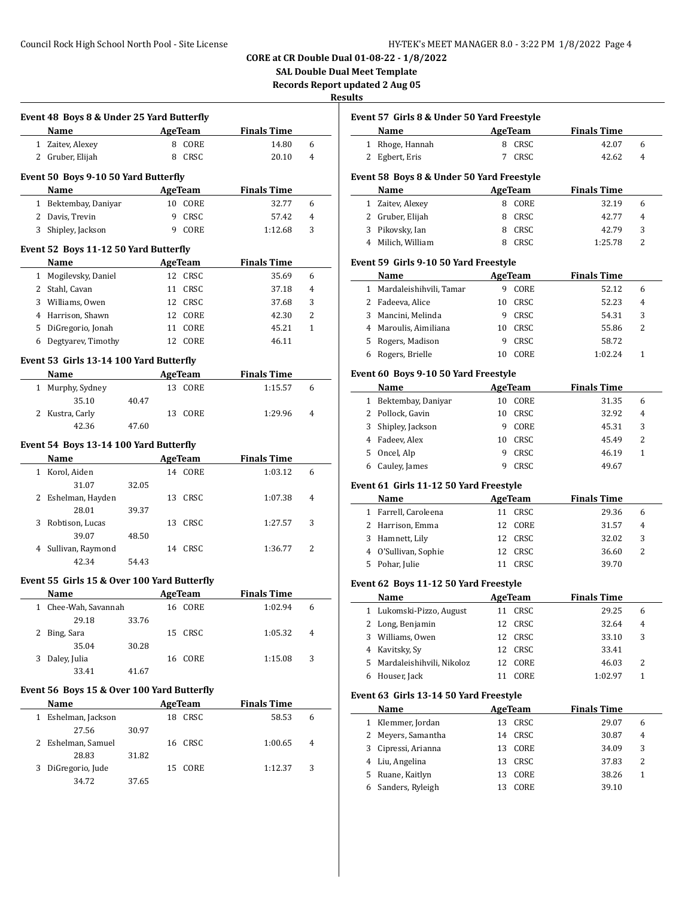# **CORE at CR Double Dual 01-08-22 - 1/8/2022**

**SAL Double Dual Meet Template**

**Records Report updated 2 Aug 05**

| Event 48 Boys 8 & Under 25 Yard Butterfly                                                                                                                                                                                     |       |                |                     |   |
|-------------------------------------------------------------------------------------------------------------------------------------------------------------------------------------------------------------------------------|-------|----------------|---------------------|---|
| Name<br><u> 1980 - Johann Barbara, martxa a</u>                                                                                                                                                                               |       | <b>AgeTeam</b> | <b>Finals Time</b>  |   |
| 1 Zaitev, Alexey                                                                                                                                                                                                              |       | 8 CORE         | 14.80               | 6 |
| 2 Gruber, Elijah                                                                                                                                                                                                              |       | 8 CRSC         | 20.10               | 4 |
| Event 50 Boys 9-10 50 Yard Butterfly                                                                                                                                                                                          |       |                |                     |   |
| Name                                                                                                                                                                                                                          |       | <b>AgeTeam</b> | <b>Finals Time</b>  |   |
| 1 Bektembay, Daniyar                                                                                                                                                                                                          |       | 10 CORE        | 32.77               | 6 |
| 2 Davis. Trevin                                                                                                                                                                                                               |       | 9 CRSC         | 57.42               | 4 |
| 3 Shipley, Jackson                                                                                                                                                                                                            |       | 9 CORE         | 1:12.68             | 3 |
|                                                                                                                                                                                                                               |       |                |                     |   |
| Event 52 Boys 11-12 50 Yard Butterfly                                                                                                                                                                                         |       |                |                     |   |
| Name                                                                                                                                                                                                                          |       | AgeTeam        | <b>Finals Time</b>  |   |
| 1 Mogilevsky, Daniel                                                                                                                                                                                                          |       | 12 CRSC        | 35.69               | 6 |
| 2 Stahl, Cavan                                                                                                                                                                                                                |       | 11 CRSC        | 37.18               | 4 |
| 3 Williams, Owen                                                                                                                                                                                                              |       | 12 CRSC        | 37.68               | 3 |
| 4 Harrison, Shawn                                                                                                                                                                                                             |       | 12 CORE        | 42.30               | 2 |
| 5 DiGregorio, Jonah                                                                                                                                                                                                           |       | 11 CORE        | 45.21               | 1 |
| 6 Degtyarev, Timothy                                                                                                                                                                                                          |       | 12 CORE        | 46.11               |   |
| Event 53 Girls 13-14 100 Yard Butterfly                                                                                                                                                                                       |       |                |                     |   |
| Name                                                                                                                                                                                                                          |       |                | AgeTeam Finals Time |   |
| 1 Murphy, Sydney                                                                                                                                                                                                              |       | 13 CORE        | 1:15.57             | 6 |
| 35.10                                                                                                                                                                                                                         | 40.47 |                |                     |   |
| 2 Kustra, Carly                                                                                                                                                                                                               |       | 13 CORE        | 1:29.96             | 4 |
| 42.36                                                                                                                                                                                                                         | 47.60 |                |                     |   |
|                                                                                                                                                                                                                               |       |                |                     |   |
| Event 54 Boys 13-14 100 Yard Butterfly                                                                                                                                                                                        |       |                |                     |   |
| Name and the same state of the state of the state of the state of the state of the state of the state of the state of the state of the state of the state of the state of the state of the state of the state of the state of |       | AgeTeam        | <b>Finals Time</b>  |   |
| 1 Korol, Aiden                                                                                                                                                                                                                |       | 14 CORE        | 1:03.12             | 6 |
| 31.07                                                                                                                                                                                                                         | 32.05 |                |                     |   |
| 2 Eshelman, Hayden                                                                                                                                                                                                            |       | 13 CRSC        | 1:07.38             | 4 |
|                                                                                                                                                                                                                               | 39.37 |                |                     |   |
| 28.01                                                                                                                                                                                                                         |       |                |                     |   |
| 3 Robtison, Lucas                                                                                                                                                                                                             |       | 13 CRSC        | 1:27.57             | 3 |
| 39.07                                                                                                                                                                                                                         | 48.50 |                |                     |   |
| 4 Sullivan, Raymond                                                                                                                                                                                                           |       | 14 CRSC        | 1:36.77             | 2 |
| 42.34                                                                                                                                                                                                                         | 54.43 |                |                     |   |
|                                                                                                                                                                                                                               |       |                |                     |   |
| Event 55 Girls 15 & Over 100 Yard Butterfly                                                                                                                                                                                   |       |                |                     |   |
| Name                                                                                                                                                                                                                          |       | <b>AgeTeam</b> | <b>Finals Time</b>  | 6 |
| 1 Chee-Wah, Savannah                                                                                                                                                                                                          |       | 16 CORE        | 1:02.94             |   |
| 29.18                                                                                                                                                                                                                         | 33.76 |                |                     | 4 |
| 2 Bing, Sara                                                                                                                                                                                                                  |       | 15 CRSC        | 1:05.32             |   |
| 35.04                                                                                                                                                                                                                         | 30.28 |                |                     | 3 |
| 3 Daley, Julia                                                                                                                                                                                                                |       | 16 CORE        | 1:15.08             |   |
| 33.41                                                                                                                                                                                                                         | 41.67 |                |                     |   |
| Event 56 Boys 15 & Over 100 Yard Butterfly                                                                                                                                                                                    |       |                |                     |   |
| Name                                                                                                                                                                                                                          |       | AgeTeam        | <b>Finals Time</b>  |   |
| 1 Eshelman, Jackson                                                                                                                                                                                                           |       | 18 CRSC        | 58.53               | 6 |
| 27.56                                                                                                                                                                                                                         | 30.97 |                |                     |   |
| 2 Eshelman, Samuel                                                                                                                                                                                                            |       | 16 CRSC        | 1:00.65             | 4 |
| 28.83                                                                                                                                                                                                                         | 31.82 |                |                     |   |
| 3 DiGregorio, Jude                                                                                                                                                                                                            |       | 15 CORE        | 1:12.37             | 3 |

|                       | Event 57  Girls 8 & Under 50 Yard Freestyle |    |                |                    |   |
|-----------------------|---------------------------------------------|----|----------------|--------------------|---|
|                       | Name                                        |    | AgeTeam        | <b>Finals Time</b> |   |
| 1                     | Rhoge, Hannah                               | 8  | CRSC           | 42.07              | 6 |
| 2                     | Egbert, Eris                                | 7  | CRSC           | 42.62              | 4 |
|                       | Event 58  Boys 8 & Under 50 Yard Freestyle  |    |                |                    |   |
|                       | Name                                        |    | AgeTeam        | <b>Finals Time</b> |   |
| 1                     | Zaitev, Alexey                              |    | 8 CORE         | 32.19              | 6 |
| 2                     | Gruber, Elijah                              | 8  | CRSC           | 42.77              | 4 |
|                       | 3 Pikovsky, Ian                             |    | 8 CRSC         | 42.79              | 3 |
|                       | 4 Milich, William                           |    | 8 CRSC         | 1:25.78            | 2 |
|                       | Event 59  Girls 9-10 50 Yard Freestyle      |    |                |                    |   |
|                       | Name                                        |    | <b>AgeTeam</b> | <b>Finals Time</b> |   |
| $\mathbf{1}$          | Mardaleishihvili, Tamar                     |    | 9 CORE         | 52.12              | 6 |
| 2                     | Fadeeva, Alice                              | 10 | CRSC           | 52.23              | 4 |
| 3                     | Mancini, Melinda                            | 9  | CRSC           | 54.31              | 3 |
| 4                     | Maroulis, Aimiliana                         | 10 | CRSC           | 55.86              | 2 |
| 5                     | Rogers, Madison                             | 9  | CRSC           | 58.72              |   |
| 6                     | Rogers, Brielle                             |    | 10 CORE        | 1:02.24            | 1 |
|                       |                                             |    |                |                    |   |
|                       | Event 60 Boys 9-10 50 Yard Freestyle        |    |                |                    |   |
|                       | Name                                        |    | <b>AgeTeam</b> | <b>Finals Time</b> |   |
|                       | 1 Bektembay, Daniyar                        |    | 10 CORE        | 31.35              | 6 |
| $\mathbf{2}^{\prime}$ | Pollock, Gavin                              |    | 10 CRSC        | 32.92              | 4 |
| 3                     | Shipley, Jackson                            |    | 9 CORE         | 45.31              | 3 |
|                       | 4 Fadeev, Alex                              |    | 10 CRSC        | 45.49              | 2 |
| 5                     | Oncel, Alp                                  | 9  | CRSC           | 46.19              | 1 |
| 6                     | Cauley, James                               | 9  | CRSC           | 49.67              |   |
|                       | Event 61 Girls 11-12 50 Yard Freestyle      |    |                |                    |   |
|                       | Name                                        |    | <b>AgeTeam</b> | <b>Finals Time</b> |   |
| $\mathbf{1}$          | Farrell, Caroleena                          |    | 11 CRSC        | 29.36              | 6 |
|                       | 2 Harrison, Emma                            |    | 12 CORE        | 31.57              | 4 |
| 3                     | Hamnett, Lily                               |    | 12 CRSC        | 32.02              | 3 |
| 4                     | O'Sullivan, Sophie                          |    | 12 CRSC        | 36.60              | 2 |
| 5                     | Pohar, Julie                                |    | 11 CRSC        | 39.70              |   |
|                       |                                             |    |                |                    |   |
|                       | Event 62 Boys 11-12 50 Yard Freestyle       |    |                |                    |   |
|                       | Name                                        |    | <b>AgeTeam</b> | <b>Finals Time</b> |   |
|                       | 1 Lukomski-Pizzo, August                    |    | 11 CRSC        | 29.25              | 6 |
| 2                     | Long, Benjamin                              |    | 12 CRSC        | 32.64              | 4 |
| 3                     | Williams, Owen                              | 12 | CRSC           | 33.10              | 3 |
| 4                     | Kavitsky, Sy                                | 12 | CRSC           | 33.41              |   |
| 5                     | Mardaleishihvili, Nikoloz                   | 12 | CORE           | 46.03              | 2 |
| 6                     | Houser, Jack                                | 11 | CORE           | 1:02.97            | 1 |
|                       | Event 63  Girls 13-14 50 Yard Freestyle     |    |                |                    |   |
|                       | Name                                        |    | <b>AgeTeam</b> | <b>Finals Time</b> |   |
| 1                     | Klemmer, Jordan                             | 13 | CRSC           | 29.07              | 6 |
| 2                     | Meyers, Samantha                            | 14 | CRSC           | 30.87              | 4 |
| 3                     | Cipressi, Arianna                           | 13 | $\sf{CORE}$    | 34.09              | 3 |
| 4                     | Liu, Angelina                               | 13 | CRSC           | 37.83              | 2 |
| 5                     | Ruane, Kaitlyn                              | 13 | CORE           | 38.26              | 1 |
| 6                     | Sanders, Ryleigh                            | 13 | CORE           | 39.10              |   |
|                       |                                             |    |                |                    |   |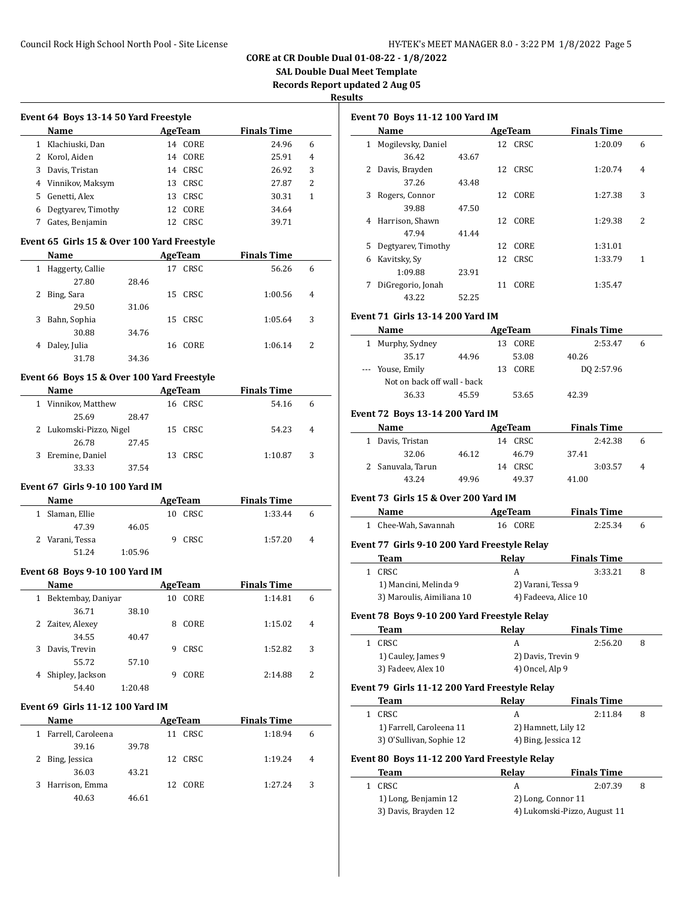**SAL Double Dual Meet Template**

**Records Report updated 2 Aug 05**

**Results**

|   |                                             |         |    |                | Records Re         |              |
|---|---------------------------------------------|---------|----|----------------|--------------------|--------------|
|   | Event 64 Boys 13-14 50 Yard Freestyle       |         |    |                |                    |              |
|   | Name                                        |         |    | <b>AgeTeam</b> | <b>Finals Time</b> |              |
|   | 1 Klachiuski, Dan                           |         |    | 14 CORE        | 24.96              | 6            |
|   | 2 Korol, Aiden                              |         |    | 14 CORE        | 25.91              | 4            |
|   | 3 Davis, Tristan                            |         |    | 14 CRSC        | 26.92              | 3            |
|   | 4 Vinnikov, Maksym                          |         |    | 13 CRSC        | 27.87              | 2            |
|   | 5 Genetti, Alex                             |         |    | 13 CRSC        | 30.31              | $\mathbf{1}$ |
|   | 6 Degtyarev, Timothy                        |         |    | 12 CORE        | 34.64              |              |
| 7 | Gates, Benjamin                             |         |    | 12 CRSC        | 39.71              |              |
|   | Event 65 Girls 15 & Over 100 Yard Freestyle |         |    |                |                    |              |
|   | Name                                        |         |    | <b>AgeTeam</b> | <b>Finals Time</b> |              |
|   | 1 Haggerty, Callie                          |         | 17 | CRSC           | 56.26              | 6            |
|   | 27.80                                       | 28.46   |    |                |                    |              |
| 2 | Bing, Sara                                  |         | 15 | CRSC           | 1:00.56            | 4            |
|   | 29.50                                       | 31.06   |    |                |                    |              |
| 3 | Bahn, Sophia                                |         | 15 | CRSC           | 1:05.64            | 3            |
|   | 30.88                                       | 34.76   |    |                |                    |              |
| 4 | Daley, Julia                                |         | 16 | CORE           | 1:06.14            | 2            |
|   | 31.78                                       | 34.36   |    |                |                    |              |
|   | Event 66 Boys 15 & Over 100 Yard Freestyle  |         |    |                |                    |              |
|   | Name                                        |         |    | AgeTeam        | <b>Finals Time</b> |              |
|   | 1 Vinnikov, Matthew                         |         |    | 16 CRSC        | 54.16              | 6            |
|   | 25.69                                       | 28.47   |    |                |                    |              |
|   | 2 Lukomski-Pizzo, Nigel                     |         | 15 | CRSC           | 54.23              | 4            |
|   | 26.78                                       | 27.45   |    |                |                    |              |
| 3 | Eremine, Daniel                             |         | 13 | CRSC           | 1:10.87            | 3            |
|   | 33.33                                       | 37.54   |    |                |                    |              |
|   | <b>Event 67 Girls 9-10 100 Yard IM</b>      |         |    |                |                    |              |
|   | Name                                        |         |    | AgeTeam        | <b>Finals Time</b> |              |
|   | 1 Slaman, Ellie                             |         |    | 10 CRSC        | 1:33.44            | 6            |
|   | 47.39                                       | 46.05   |    |                |                    |              |
|   | 2 Varani, Tessa                             |         | 9  | CRSC           | 1:57.20            | 4            |
|   | 51.24                                       | 1:05.96 |    |                |                    |              |
|   | <b>Event 68 Boys 9-10 100 Yard IM</b>       |         |    |                |                    |              |
|   | <b>Name</b>                                 |         |    | <b>AgeTeam</b> | <b>Finals Time</b> |              |
| 1 | Bektembay, Daniyar                          |         | 10 | CORE           | 1:14.81            | 6            |
|   | 36.71                                       | 38.10   |    |                |                    |              |
| 2 | Zaitev, Alexey                              |         | 8  | CORE           | 1:15.02            | 4            |
|   | 34.55                                       | 40.47   |    |                |                    |              |
| 3 | Davis, Trevin                               |         | 9  | CRSC           | 1:52.82            | 3            |
|   | 55.72                                       | 57.10   |    |                |                    |              |
|   | 4 Shipley, Jackson                          |         | 9  | CORE           | 2:14.88            | 2            |
|   | 54.40                                       | 1:20.48 |    |                |                    |              |
|   | <b>Event 69 Girls 11-12 100 Yard IM</b>     |         |    |                |                    |              |
|   | <u>Name</u>                                 |         |    | AgeTeam        | <b>Finals Time</b> |              |
| 1 | Farrell, Caroleena                          |         |    | 11 CRSC        | 1:18.94            | 6            |
|   | 39.16                                       | 39.78   |    |                |                    |              |
|   | 2 Bing, Jessica                             |         |    | 12 CRSC        | 1:19.24            | 4            |
|   | 36.03                                       | 43.21   |    |                |                    |              |
| 3 | Harrison, Emma                              |         | 12 | CORE           | 1:27.24            | 3            |
|   | 40.63                                       | 46.61   |    |                |                    |              |
|   |                                             |         |    |                |                    |              |

|              | Name                                          |       | <b>AgeTeam</b>      | <b>Finals Time</b>           |   |
|--------------|-----------------------------------------------|-------|---------------------|------------------------------|---|
| $\mathbf{1}$ | Mogilevsky, Daniel                            |       | 12 CRSC             | 1:20.09                      | 6 |
|              | 36.42                                         | 43.67 |                     |                              |   |
|              | 2 Davis, Brayden                              |       | 12 CRSC             | 1:20.74                      | 4 |
|              | 37.26                                         | 43.48 |                     |                              |   |
| 3            | Rogers, Connor                                |       | 12 CORE             | 1:27.38                      | 3 |
|              | 39.88                                         | 47.50 |                     |                              |   |
| 4            | Harrison, Shawn                               |       | 12 CORE             | 1:29.38                      | 2 |
|              | 47.94                                         | 41.44 |                     |                              |   |
| 5            | Degtyarev, Timothy                            |       | 12 CORE             | 1:31.01                      |   |
| 6            | Kavitsky, Sy                                  |       | 12 CRSC             | 1:33.79                      | 1 |
|              | 1:09.88                                       | 23.91 |                     |                              |   |
| 7            | DiGregorio, Jonah                             |       | 11 CORE             | 1:35.47                      |   |
|              | 43.22                                         | 52.25 |                     |                              |   |
|              |                                               |       |                     |                              |   |
|              | <b>Event 71 Girls 13-14 200 Yard IM</b>       |       |                     |                              |   |
|              | <b>Name</b>                                   |       | AgeTeam             | <b>Finals Time</b>           |   |
|              | 1 Murphy, Sydney                              |       | 13 CORE             | 2:53.47                      | 6 |
|              | 35.17                                         | 44.96 | 53.08               | 40.26                        |   |
| $- - -$      | Youse, Emily                                  |       | 13 CORE             | DQ 2:57.96                   |   |
|              | Not on back off wall - back                   |       |                     |                              |   |
|              | 36.33                                         | 45.59 | 53.65               | 42.39                        |   |
|              | Event 72 Boys 13-14 200 Yard IM               |       |                     |                              |   |
|              | Name                                          |       | <b>AgeTeam</b>      | <b>Finals Time</b>           |   |
|              | 1 Davis, Tristan                              |       | 14 CRSC             | 2:42.38                      | 6 |
|              | 32.06                                         |       | 46.79               | 37.41                        |   |
|              | 2 Sanuvala, Tarun                             | 46.12 | 14 CRSC             | 3:03.57                      | 4 |
|              | 43.24                                         |       |                     |                              |   |
|              |                                               | 49.96 | 49.37               | 41.00                        |   |
|              | Event 73 Girls 15 & Over 200 Yard IM          |       |                     |                              |   |
|              | Name                                          |       | AgeTeam             | <b>Finals Time</b>           |   |
|              | 1 Chee-Wah, Savannah                          |       | 16 CORE             | 2:25.34                      | 6 |
|              | Event 77 Girls 9-10 200 Yard Freestyle Relay  |       |                     |                              |   |
|              | Team                                          |       | Relay               | <b>Finals Time</b>           |   |
|              |                                               |       | A                   | 3:33.21                      | 8 |
|              | 1 CRSC                                        |       |                     |                              |   |
|              |                                               |       |                     |                              |   |
|              | 1) Mancini, Melinda 9                         |       | 2) Varani, Tessa 9  |                              |   |
|              | 3) Maroulis, Aimiliana 10                     |       |                     | 4) Fadeeva, Alice 10         |   |
|              | Event 78 Boys 9-10 200 Yard Freestyle Relay   |       |                     |                              |   |
|              | Team                                          |       | Relay               | <b>Finals Time</b>           |   |
| $\mathbf{1}$ | CRSC                                          |       | A                   | 2:56.20                      | 8 |
|              | 1) Cauley, James 9                            |       | 2) Davis, Trevin 9  |                              |   |
|              | 3) Fadeev, Alex 10                            |       | 4) Oncel, Alp 9     |                              |   |
|              |                                               |       |                     |                              |   |
|              | Event 79 Girls 11-12 200 Yard Freestyle Relay |       |                     |                              |   |
| 1            | Team<br>CRSC                                  |       | Relay<br>A          | <b>Finals Time</b>           | 8 |
|              |                                               |       |                     | 2:11.84                      |   |
|              | 1) Farrell, Caroleena 11                      |       | 2) Hamnett, Lily 12 |                              |   |
|              | 3) O'Sullivan, Sophie 12                      |       | 4) Bing, Jessica 12 |                              |   |
|              | Event 80 Boys 11-12 200 Yard Freestyle Relay  |       |                     |                              |   |
|              | Team                                          |       | Relay               | <b>Finals Time</b>           |   |
| $\mathbf{1}$ | CRSC                                          |       | A                   | 2:07.39                      | 8 |
|              | 1) Long, Benjamin 12                          |       | 2) Long, Connor 11  | 4) Lukomski-Pizzo, August 11 |   |